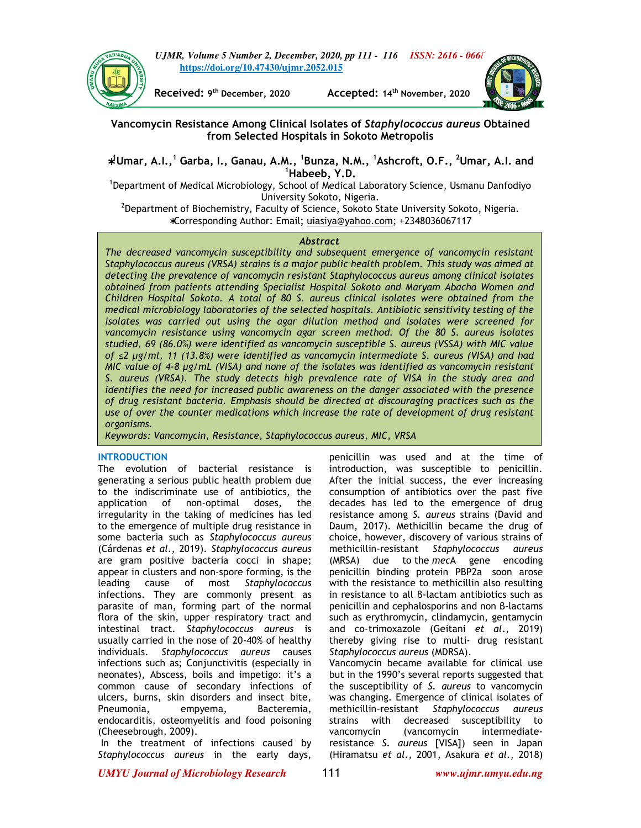



**Received: 9**

**th December, 2020 Accepted: 14th November, 2020** 



**Vancomycin Resistance Among Clinical Isolates of** *Staphylococcus aureus* **Obtained from Selected Hospitals in Sokoto Metropolis** 

∗ **<sup>1</sup>Umar, A.I.,<sup>1</sup> Garba, I., Ganau, A.M., <sup>1</sup> Bunza, N.M., <sup>1</sup>Ashcroft, O.F., <sup>2</sup>Umar, A.I. and <sup>1</sup>Habeeb, Y.D.** 

<sup>1</sup>Department of Medical Microbiology, School of Medical Laboratory Science, Usmanu Danfodiyo University Sokoto, Nigeria.

 $^2$ Department of Biochemistry, Faculty of Science, Sokoto State University Sokoto, Nigeria. ∗Corresponding Author: Email; uiasiya@yahoo.com; +2348036067117

# *Abstract*

*The decreased vancomycin susceptibility and subsequent emergence of vancomycin resistant Staphylococcus aureus (VRSA) strains is a major public health problem. This study was aimed at detecting the prevalence of vancomycin resistant Staphylococcus aureus among clinical isolates obtained from patients attending Specialist Hospital Sokoto and Maryam Abacha Women and Children Hospital Sokoto. A total of 80 S. aureus clinical isolates were obtained from the medical microbiology laboratories of the selected hospitals. Antibiotic sensitivity testing of the isolates was carried out using the agar dilution method and isolates were screened for vancomycin resistance using vancomycin agar screen method. Of the 80 S. aureus isolates studied, 69 (86.0%) were identified as vancomycin susceptible S. aureus (VSSA) with MIC value of ≤2 µg/ml, 11 (13.8%) were identified as vancomycin intermediate S. aureus (VISA) and had MIC value of 4-8 µg/mL (VISA) and none of the isolates was identified as vancomycin resistant S. aureus (VRSA). The study detects high prevalence rate of VISA in the study area and identifies the need for increased public awareness on the danger associated with the presence of drug resistant bacteria. Emphasis should be directed at discouraging practices such as the use of over the counter medications which increase the rate of development of drug resistant organisms.* 

*Keywords: Vancomycin, Resistance, Staphylococcus aureus, MIC, VRSA* 

## **INTRODUCTION**

The evolution of bacterial resistance is generating a serious public health problem due to the indiscriminate use of antibiotics, the application of non-optimal doses, the irregularity in the taking of medicines has led to the emergence of multiple drug resistance in some bacteria such as *Staphylococcus aureus*  (Cárdenas *et al*., 2019). *Staphylococcus aureus* are gram positive bacteria cocci in shape; appear in clusters and non-spore forming, is the leading cause of most *Staphylococcus*  infections. They are commonly present as parasite of man, forming part of the normal flora of the skin, upper respiratory tract and intestinal tract. *Staphylococcus aureus* is usually carried in the nose of 20-40% of healthy individuals. *Staphylococcus aureus* causes infections such as; Conjunctivitis (especially in neonates), Abscess, boils and impetigo: it's a common cause of secondary infections of ulcers, burns, skin disorders and insect bite, Pneumonia, empyema, Bacteremia, endocarditis, osteomyelitis and food poisoning (Cheesebrough, 2009).

 In the treatment of infections caused by *Staphylococcus aureus* in the early days,

penicillin was used and at the time of introduction, was susceptible to penicillin. After the initial success, the ever increasing consumption of antibiotics over the past five decades has led to the emergence of drug resistance among *S. aureus* strains (David and Daum, 2017). Methicillin became the drug of choice, however, discovery of various strains of methicillin-resistant *Staphylococcus aureus* (MRSA) due to the *mec*A gene encoding penicillin binding protein PBP2a soon arose with the resistance to methicillin also resulting in resistance to all β-lactam antibiotics such as penicillin and cephalosporins and non β-lactams such as erythromycin, clindamycin, gentamycin and co-trimoxazole (Geitani *et al*., 2019) thereby giving rise to multi- drug resistant *Staphylococcus aureus* (MDRSA). Vancomycin became available for clinical use

but in the 1990's several reports suggested that the susceptibility of *S. aureus* to vancomycin was changing. Emergence of clinical isolates of methicillin-resistant *Staphylococcus aureus* strains with decreased susceptibility to vancomycin (vancomycin intermediateresistance *S. aureus* [VISA]) seen in Japan (Hiramatsu *et al*., 2001, Asakura *et al*., 2018)

*UMYU Journal of Microbiology Research www.ujmr.umyu.edu.ng*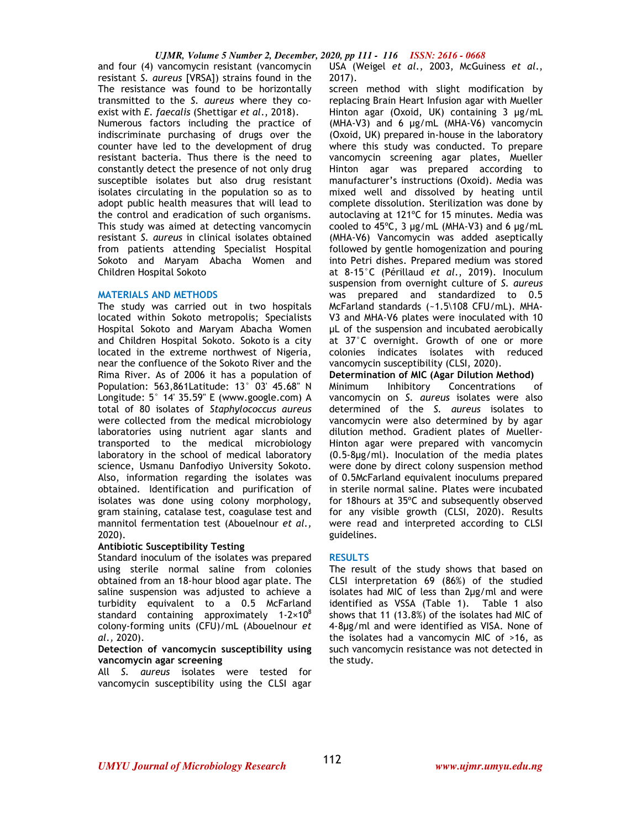and four (4) vancomycin resistant (vancomycin resistant *S. aureus* [VRSA]) strains found in the The resistance was found to be horizontally transmitted to the *S. aureus* where they coexist with *E. faecalis* (Shettigar *et al*., 2018). Numerous factors including the practice of indiscriminate purchasing of drugs over the counter have led to the development of drug resistant bacteria. Thus there is the need to constantly detect the presence of not only drug susceptible isolates but also drug resistant isolates circulating in the population so as to adopt public health measures that will lead to the control and eradication of such organisms. This study was aimed at detecting vancomycin resistant *S. aureus* in clinical isolates obtained from patients attending Specialist Hospital Sokoto and Maryam Abacha Women and Children Hospital Sokoto

#### **MATERIALS AND METHODS**

The study was carried out in two hospitals located within Sokoto metropolis; Specialists Hospital Sokoto and Maryam Abacha Women and Children Hospital Sokoto. Sokoto is a city located in the extreme northwest of Nigeria, near the confluence of the Sokoto River and the Rima River. As of 2006 it has a population of Population: 563,861Latitude: 13° 03' 45.68" N Longitude: 5° 14' 35.59" E (www.google.com) A total of 80 isolates of *Staphylococcus aureus*  were collected from the medical microbiology laboratories using nutrient agar slants and transported to the medical microbiology laboratory in the school of medical laboratory science, Usmanu Danfodiyo University Sokoto. Also, information regarding the isolates was obtained. Identification and purification of isolates was done using colony morphology, gram staining, catalase test, coagulase test and mannitol fermentation test (Abouelnour *et al.,*  2020).

#### **Antibiotic Susceptibility Testing**

Standard inoculum of the isolates was prepared using sterile normal saline from colonies obtained from an 18-hour blood agar plate. The saline suspension was adjusted to achieve a turbidity equivalent to a 0.5 McFarland standard containing approximately  $1-2\times10^8$ colony-forming units (CFU)/mL (Abouelnour *et al.,* 2020).

## **Detection of vancomycin susceptibility using vancomycin agar screening**

All *S. aureus* isolates were tested for vancomycin susceptibility using the CLSI agar USA (Weigel *et al*., 2003, McGuiness *et al*., 2017).

screen method with slight modification by replacing Brain Heart Infusion agar with Mueller Hinton agar (Oxoid, UK) containing 3 µg/mL  $(MHA-V3)$  and 6  $\mu$ g/mL  $(MHA-V6)$  vancomycin (Oxoid, UK) prepared in-house in the laboratory where this study was conducted. To prepare vancomycin screening agar plates, Mueller Hinton agar was prepared according to manufacturer's instructions (Oxoid). Media was mixed well and dissolved by heating until complete dissolution. Sterilization was done by autoclaving at 121ºC for 15 minutes. Media was cooled to 45ºC, 3 µg/mL (MHA-V3) and 6 µg/mL (MHA-V6) Vancomycin was added aseptically followed by gentle homogenization and pouring into Petri dishes. Prepared medium was stored at 8-15°C (Périllaud *et al*., 2019). Inoculum suspension from overnight culture of *S. aureus*  was prepared and standardized to 0.5 McFarland standards (~1.5\108 CFU/mL). MHA-V3 and MHA-V6 plates were inoculated with 10 µL of the suspension and incubated aerobically at 37°C overnight. Growth of one or more colonies indicates isolates with reduced vancomycin susceptibility (CLSI, 2020).

**Determination of MIC (Agar Dilution Method)** 

Minimum Inhibitory Concentrations of vancomycin on *S. aureus* isolates were also determined of the *S. aureus* isolates to vancomycin were also determined by by agar dilution method. Gradient plates of Mueller-Hinton agar were prepared with vancomycin (0.5-8µg/ml). Inoculation of the media plates were done by direct colony suspension method of 0.5McFarland equivalent inoculums prepared in sterile normal saline. Plates were incubated for 18hours at 35ºC and subsequently observed for any visible growth (CLSI, 2020). Results were read and interpreted according to CLSI guidelines.

#### **RESULTS**

The result of the study shows that based on CLSI interpretation 69 (86%) of the studied isolates had MIC of less than 2µg/ml and were identified as VSSA (Table 1). Table 1 also shows that 11 (13.8%) of the isolates had MIC of 4-8µg/ml and were identified as VISA. None of the isolates had a vancomycin MIC of >16, as such vancomycin resistance was not detected in the study.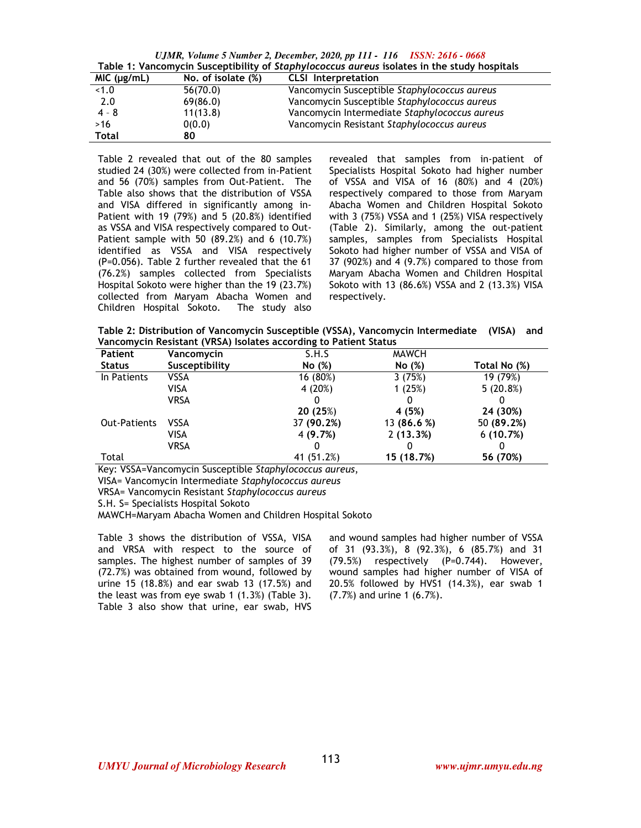*UJMR, Volume 5 Number 2, December, 2020, pp 111 - 116 ISSN: 2616 - 0668* **Table 1: Vancomycin Susceptibility of** *Staphylococcus aureus* **isolates in the study hospitals** 

| MIC (µg/mL) | No. of isolate (%) | <b>CLSI</b> Interpretation                    |  |  |  |  |
|-------------|--------------------|-----------------------------------------------|--|--|--|--|
| < 1.0       | 56(70.0)           | Vancomycin Susceptible Staphylococcus aureus  |  |  |  |  |
| 2.0         | 69(86.0)           | Vancomycin Susceptible Staphylococcus aureus  |  |  |  |  |
| $4 - 8$     | 11(13.8)           | Vancomycin Intermediate Staphylococcus aureus |  |  |  |  |
| >16         | 0(0.0)             | Vancomycin Resistant Staphylococcus aureus    |  |  |  |  |
| Total       | 80                 |                                               |  |  |  |  |

Table 2 revealed that out of the 80 samples studied 24 (30%) were collected from in-Patient and 56 (70%) samples from Out-Patient. The Table also shows that the distribution of VSSA and VISA differed in significantly among in-Patient with 19 (79%) and 5 (20.8%) identified as VSSA and VISA respectively compared to Out-Patient sample with 50 (89.2%) and 6 (10.7%) identified as VSSA and VISA respectively (P=0.056). Table 2 further revealed that the 61 (76.2%) samples collected from Specialists Hospital Sokoto were higher than the 19 (23.7%) collected from Maryam Abacha Women and Children Hospital Sokoto. The study also

revealed that samples from in-patient of Specialists Hospital Sokoto had higher number of VSSA and VISA of 16 (80%) and 4 (20%) respectively compared to those from Maryam Abacha Women and Children Hospital Sokoto with 3 (75%) VSSA and 1 (25%) VISA respectively (Table 2). Similarly, among the out-patient samples, samples from Specialists Hospital Sokoto had higher number of VSSA and VISA of 37 (902%) and 4 (9.7%) compared to those from Maryam Abacha Women and Children Hospital Sokoto with 13 (86.6%) VSSA and 2 (13.3%) VISA respectively.

**Table 2: Distribution of Vancomycin Susceptible (VSSA), Vancomycin Intermediate (VISA) and Vancomycin Resistant (VRSA) Isolates according to Patient Status** 

| <b>Patient</b>      | Vancomycin     | S.H.S      | <b>MAWCH</b> |              |
|---------------------|----------------|------------|--------------|--------------|
| <b>Status</b>       | Susceptibility | No(%)      | No (%)       | Total No (%) |
| In Patients         | VSSA           | 16 (80%)   | 3(75%)       | 19 (79%)     |
|                     | VISA           | 4 (20%)    | 1(25%)       | $5(20.8\%)$  |
|                     | VRSA           |            |              |              |
|                     |                | 20(25%)    | 4 (5%)       | 24 (30%)     |
| <b>Out-Patients</b> | <b>VSSA</b>    | 37 (90.2%) | 13 (86.6 %)  | 50 (89.2%)   |
|                     | VISA           | 4 (9.7%)   | 2(13.3%)     | 6(10.7%)     |
|                     | <b>VRSA</b>    |            |              |              |
| Total               |                | 41 (51.2%) | 15 (18.7%)   | 56 (70%)     |

Key: VSSA=Vancomycin Susceptible *Staphylococcus aureus*,

VISA= Vancomycin Intermediate *Staphylococcus aureus* 

VRSA= Vancomycin Resistant *Staphylococcus aureus*

S.H. S= Specialists Hospital Sokoto

MAWCH=Maryam Abacha Women and Children Hospital Sokoto

Table 3 shows the distribution of VSSA, VISA and VRSA with respect to the source of samples. The highest number of samples of 39 (72.7%) was obtained from wound, followed by urine 15 (18.8%) and ear swab 13 (17.5%) and the least was from eye swab 1 (1.3%) (Table 3). Table 3 also show that urine, ear swab, HVS and wound samples had higher number of VSSA of 31 (93.3%), 8 (92.3%), 6 (85.7%) and 31 (79.5%) respectively (P=0.744). However, wound samples had higher number of VISA of 20.5% followed by HVS1 (14.3%), ear swab 1 (7.7%) and urine 1 (6.7%).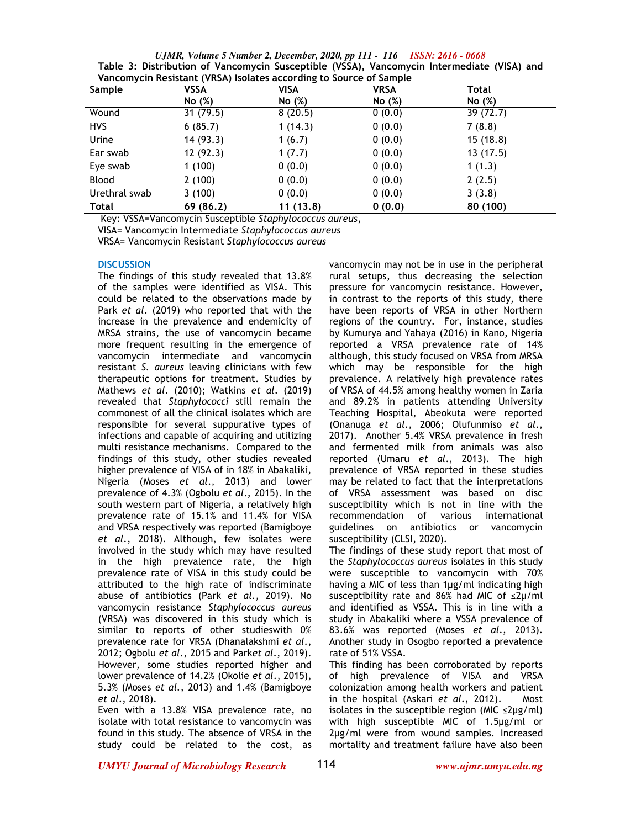*UJMR, Volume 5 Number 2, December, 2020, pp 111 - 116 ISSN: 2616 - 0668* **Table 3: Distribution of Vancomycin Susceptible (VSSA), Vancomycin Intermediate (VISA) and Vancomycin Resistant (VRSA) Isolates according to Source of Sample** 

| <b>Sample</b> | VSSA      | VISA     | <b>VRSA</b> | Total    |
|---------------|-----------|----------|-------------|----------|
|               | No (%)    | No (%)   | No (%)      | No (%)   |
| Wound         | 31(79.5)  | 8(20.5)  | 0(0.0)      | 39(72.7) |
| <b>HVS</b>    | 6(85.7)   | 1(14.3)  | 0(0.0)      | 7(8.8)   |
| Urine         | 14(93.3)  | 1(6.7)   | 0(0.0)      | 15(18.8) |
| Ear swab      | 12(92.3)  | 1(7.7)   | 0(0.0)      | 13(17.5) |
| Eye swab      | 1(100)    | 0(0.0)   | 0(0.0)      | 1(1.3)   |
| Blood         | 2(100)    | 0(0.0)   | 0(0.0)      | 2(2.5)   |
| Urethral swab | 3(100)    | 0(0.0)   | 0(0.0)      | 3(3.8)   |
| Total         | 69 (86.2) | 11(13.8) | 0(0.0)      | 80 (100) |

Key: VSSA=Vancomycin Susceptible *Staphylococcus aureus*,

VISA= Vancomycin Intermediate *Staphylococcus aureus* 

VRSA= Vancomycin Resistant *Staphylococcus aureus*

## **DISCUSSION**

The findings of this study revealed that 13.8% of the samples were identified as VISA. This could be related to the observations made by Park *et al*. (2019) who reported that with the increase in the prevalence and endemicity of MRSA strains, the use of vancomycin became more frequent resulting in the emergence of vancomycin intermediate and vancomycin resistant *S. aureus* leaving clinicians with few therapeutic options for treatment. Studies by Mathews *et al*. (2010); Watkins *et al*. (2019) revealed that *Staphylococci* still remain the commonest of all the clinical isolates which are responsible for several suppurative types of infections and capable of acquiring and utilizing multi resistance mechanisms. Compared to the findings of this study, other studies revealed higher prevalence of VISA of in 18% in Abakaliki, Nigeria (Moses *et al*., 2013) and lower prevalence of 4.3% (Ogbolu *et al*., 2015). In the south western part of Nigeria, a relatively high prevalence rate of 15.1% and 11.4% for VISA and VRSA respectively was reported (Bamigboye *et al*., 2018). Although, few isolates were involved in the study which may have resulted in the high prevalence rate, the high prevalence rate of VISA in this study could be attributed to the high rate of indiscriminate abuse of antibiotics (Park *et al*., 2019). No vancomycin resistance *Staphylococcus aureus* (VRSA) was discovered in this study which is similar to reports of other studieswith 0% prevalence rate for VRSA (Dhanalakshmi *et al*., 2012; Ogbolu *et al*., 2015 and Park*et al*., 2019). However, some studies reported higher and lower prevalence of 14.2% (Okolie *et al*., 2015), 5.3% (Moses *et al*., 2013) and 1.4% (Bamigboye *et al*., 2018).

Even with a 13.8% VISA prevalence rate, no isolate with total resistance to vancomycin was found in this study. The absence of VRSA in the study could be related to the cost, as

vancomycin may not be in use in the peripheral rural setups, thus decreasing the selection pressure for vancomycin resistance. However, in contrast to the reports of this study, there have been reports of VRSA in other Northern regions of the country. For, instance, studies by Kumurya and Yahaya (2016) in Kano, Nigeria reported a VRSA prevalence rate of 14% although, this study focused on VRSA from MRSA which may be responsible for the high prevalence. A relatively high prevalence rates of VRSA of 44.5% among healthy women in Zaria and 89.2% in patients attending University Teaching Hospital, Abeokuta were reported (Onanuga *et al*., 2006; Olufunmiso *et al*., 2017). Another 5.4% VRSA prevalence in fresh and fermented milk from animals was also reported (Umaru *et al*., 2013). The high prevalence of VRSA reported in these studies may be related to fact that the interpretations of VRSA assessment was based on disc susceptibility which is not in line with the recommendation of various international guidelines on antibiotics or vancomycin susceptibility (CLSI, 2020).

The findings of these study report that most of the *Staphylococcus aureus* isolates in this study were susceptible to vancomycin with 70% having a MIC of less than 1µg/ml indicating high susceptibility rate and 86% had MIC of ≤2µ/ml and identified as VSSA. This is in line with a study in Abakaliki where a VSSA prevalence of 83.6% was reported (Moses *et al*., 2013). Another study in Osogbo reported a prevalence rate of 51% VSSA.

This finding has been corroborated by reports of high prevalence of VISA and VRSA colonization among health workers and patient in the hospital (Askari *et al*., 2012). Most isolates in the susceptible region (MIC  $\leq$ 2µg/ml) with high susceptible MIC of 1.5µg/ml or 2µg/ml were from wound samples. Increased mortality and treatment failure have also been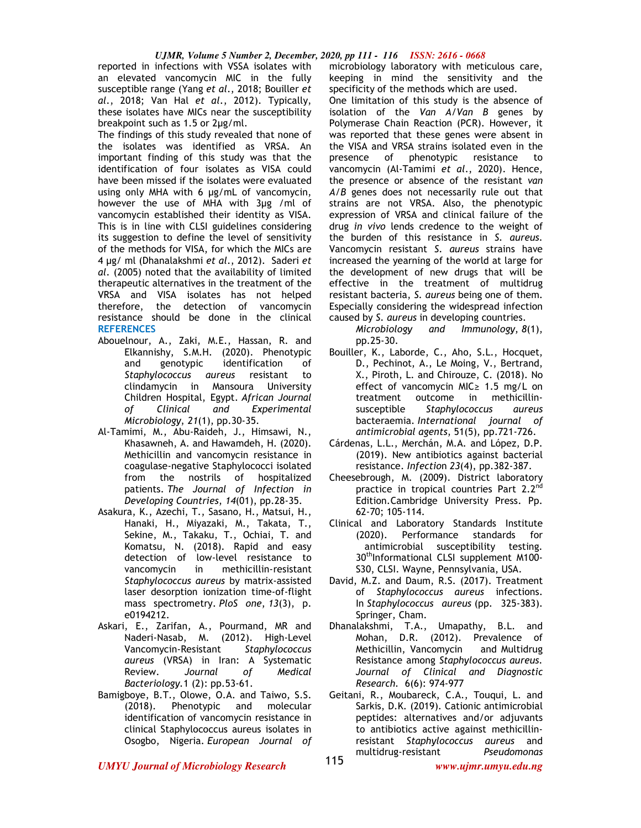## *UJMR, Volume 5 Number 2, December, 2020, pp 111 - 116 ISSN: 2616 - 0668*

reported in infections with VSSA isolates with an elevated vancomycin MIC in the fully susceptible range (Yang *et al*., 2018; Bouiller *et al*., 2018; Van Hal *et al*., 2012). Typically, these isolates have MICs near the susceptibility breakpoint such as 1.5 or 2µg/ml.

The findings of this study revealed that none of the isolates was identified as VRSA. An important finding of this study was that the identification of four isolates as VISA could have been missed if the isolates were evaluated using only MHA with 6 µg/mL of vancomycin, however the use of MHA with 3µg /ml of vancomycin established their identity as VISA. This is in line with CLSI guidelines considering its suggestion to define the level of sensitivity of the methods for VISA, for which the MICs are 4 µg/ ml (Dhanalakshmi *et al*., 2012). Saderi *et al*. (2005) noted that the availability of limited therapeutic alternatives in the treatment of the VRSA and VISA isolates has not helped therefore, the detection of vancomycin resistance should be done in the clinical **REFERENCES** 

- Abouelnour, A., Zaki, M.E., Hassan, R. and Elkannishy, S.M.H. (2020). Phenotypic and genotypic identification of *Staphylococcus aureus* resistant to clindamycin in Mansoura University Children Hospital, Egypt. *African Journal of Clinical and Experimental Microbiology*, *21*(1), pp.30-35.
- Al-Tamimi, M., Abu-Raideh, J., Himsawi, N., Khasawneh, A. and Hawamdeh, H. (2020). Methicillin and vancomycin resistance in coagulase-negative Staphylococci isolated from the nostrils of hospitalized patients. *The Journal of Infection in Developing Countries*, *14*(01), pp.28-35.
- Asakura, K., Azechi, T., Sasano, H., Matsui, H., Hanaki, H., Miyazaki, M., Takata, T., Sekine, M., Takaku, T., Ochiai, T. and Komatsu, N. (2018). Rapid and easy detection of low-level resistance to vancomycin in methicillin-resistant *Staphylococcus aureus* by matrix-assisted laser desorption ionization time-of-flight mass spectrometry. *PloS one*, *13*(3), p. e0194212.
- Askari, E., Zarifan, A., Pourmand, MR and Naderi-Nasab, M. (2012). High-Level Vancomycin-Resistant *Staphylococcus aureus* (VRSA) in Iran: A Systematic Review. *Journal of Medical Bacteriology.*1 (2): pp.53-61.
- Bamigboye, B.T., Olowe, O.A. and Taiwo, S.S. (2018). Phenotypic and molecular identification of vancomycin resistance in clinical Staphylococcus aureus isolates in Osogbo, Nigeria. *European Journal of*

microbiology laboratory with meticulous care, keeping in mind the sensitivity and the specificity of the methods which are used.

One limitation of this study is the absence of isolation of the *Van A/Van B* genes by Polymerase Chain Reaction (PCR). However, it was reported that these genes were absent in the VISA and VRSA strains isolated even in the presence of phenotypic resistance to vancomycin (Al-Tamimi *et al*., 2020). Hence, the presence or absence of the resistant *van A/B* genes does not necessarily rule out that strains are not VRSA. Also, the phenotypic expression of VRSA and clinical failure of the drug *in vivo* lends credence to the weight of the burden of this resistance in *S. aureus.*  Vancomycin resistant *S. aureus* strains have increased the yearning of the world at large for the development of new drugs that will be effective in the treatment of multidrug resistant bacteria, *S. aureus* being one of them. Especially considering the widespread infection caused by *S. aureus* in developing countries.

- *Microbiology and Immunology*, *8*(1), pp.25-30.
- Bouiller, K., Laborde, C., Aho, S.L., Hocquet, D., Pechinot, A., Le Moing, V., Bertrand, X., Piroth, L. and Chirouze, C. (2018). No effect of vancomycin MIC≥ 1.5 mg/L on treatment outcome in methicillinsusceptible *Staphylococcus aureus* bacteraemia. *International journal of antimicrobial agents*, 51(5), pp.721-726.
- Cárdenas, L.L., Merchán, M.A. and López, D.P. (2019). New antibiotics against bacterial resistance. *Infectio*n *23*(4), pp.382-387.
- Cheesebrough, M. (2009). District laboratory practice in tropical countries Part  $2.2<sup>nd</sup>$ Edition.Cambridge University Press. Pp. 62-70; 105-114.
- Clinical and Laboratory Standards Institute (2020). Performance standards for antimicrobial susceptibility testing. 30<sup>th</sup>Informational CLSI supplement M100-S30, CLSI. Wayne, Pennsylvania, USA.
- David, M.Z. and Daum, R.S. (2017). Treatment of *Staphylococcus aureus* infections. In *Staphylococcus aureus* (pp. 325-383). Springer, Cham.
- Dhanalakshmi, T.A., Umapathy, B.L. and Mohan, D.R. (2012). Prevalence of Methicillin, Vancomycin and Multidrug Resistance among *Staphylococcus aureus. Journal of Clinical and Diagnostic Research.* 6(6): 974-977
- Geitani, R., Moubareck, C.A., Touqui, L. and Sarkis, D.K. (2019). Cationic antimicrobial peptides: alternatives and/or adjuvants to antibiotics active against methicillinresistant *Staphylococcus aureus* and multidrug-resistant *Pseudomonas*

*UMYU Journal of Microbiology Research www.ujmr.umyu.edu.ng*